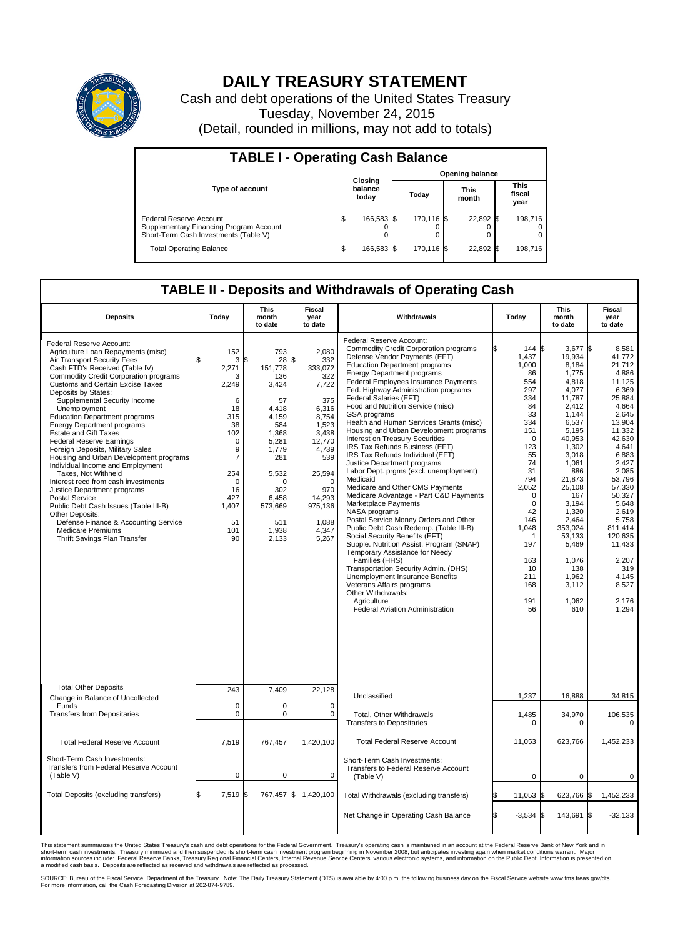

## **DAILY TREASURY STATEMENT**

Cash and debt operations of the United States Treasury Tuesday, November 24, 2015 (Detail, rounded in millions, may not add to totals)

| <b>TABLE I - Operating Cash Balance</b>                                                                     |     |                             |  |                        |  |                      |  |                               |  |  |  |
|-------------------------------------------------------------------------------------------------------------|-----|-----------------------------|--|------------------------|--|----------------------|--|-------------------------------|--|--|--|
|                                                                                                             |     | Closing<br>balance<br>today |  | <b>Opening balance</b> |  |                      |  |                               |  |  |  |
| Type of account                                                                                             |     |                             |  | Today                  |  | <b>This</b><br>month |  | <b>This</b><br>fiscal<br>year |  |  |  |
| Federal Reserve Account<br>Supplementary Financing Program Account<br>Short-Term Cash Investments (Table V) |     | 166,583 \$                  |  | 170.116 \\$            |  | 22,892 \$            |  | 198.716                       |  |  |  |
| <b>Total Operating Balance</b>                                                                              | I\$ | 166,583 \$                  |  | 170,116 \$             |  | 22,892 \$            |  | 198,716                       |  |  |  |

## **TABLE II - Deposits and Withdrawals of Operating Cash**

| <b>Deposits</b>                                                                                                                                                                                                                                                                                                                                                                                                                                                                                                                                                                                                                                                                                                                                                                                                                                    | Today                                                                                                                                                            | <b>This</b><br>month<br>to date                                                                                                                                                      | <b>Fiscal</b><br>year<br>to date                                                                                                                                                                | Withdrawals                                                                                                                                                                                                                                                                                                                                                                                                                                                                                                                                                                                                                                                                                                                                                                                                                                                                                                                                                                                                                                                                                                                                                                | Today                                                                                                                                                                                                                                     | <b>This</b><br>month<br>to date                                                                                                                                                                                                                                                          | Fiscal<br>year<br>to date                                                                                                                                                                                                                                                                        |
|----------------------------------------------------------------------------------------------------------------------------------------------------------------------------------------------------------------------------------------------------------------------------------------------------------------------------------------------------------------------------------------------------------------------------------------------------------------------------------------------------------------------------------------------------------------------------------------------------------------------------------------------------------------------------------------------------------------------------------------------------------------------------------------------------------------------------------------------------|------------------------------------------------------------------------------------------------------------------------------------------------------------------|--------------------------------------------------------------------------------------------------------------------------------------------------------------------------------------|-------------------------------------------------------------------------------------------------------------------------------------------------------------------------------------------------|----------------------------------------------------------------------------------------------------------------------------------------------------------------------------------------------------------------------------------------------------------------------------------------------------------------------------------------------------------------------------------------------------------------------------------------------------------------------------------------------------------------------------------------------------------------------------------------------------------------------------------------------------------------------------------------------------------------------------------------------------------------------------------------------------------------------------------------------------------------------------------------------------------------------------------------------------------------------------------------------------------------------------------------------------------------------------------------------------------------------------------------------------------------------------|-------------------------------------------------------------------------------------------------------------------------------------------------------------------------------------------------------------------------------------------|------------------------------------------------------------------------------------------------------------------------------------------------------------------------------------------------------------------------------------------------------------------------------------------|--------------------------------------------------------------------------------------------------------------------------------------------------------------------------------------------------------------------------------------------------------------------------------------------------|
| Federal Reserve Account:<br>Agriculture Loan Repayments (misc)<br>Air Transport Security Fees<br>Cash FTD's Received (Table IV)<br><b>Commodity Credit Corporation programs</b><br>Customs and Certain Excise Taxes<br>Deposits by States:<br>Supplemental Security Income<br>Unemployment<br><b>Education Department programs</b><br><b>Energy Department programs</b><br><b>Estate and Gift Taxes</b><br><b>Federal Reserve Earnings</b><br>Foreign Deposits, Military Sales<br>Housing and Urban Development programs<br>Individual Income and Employment<br>Taxes, Not Withheld<br>Interest recd from cash investments<br>Justice Department programs<br><b>Postal Service</b><br>Public Debt Cash Issues (Table III-B)<br>Other Deposits:<br>Defense Finance & Accounting Service<br><b>Medicare Premiums</b><br>Thrift Savings Plan Transfer | 152<br>3<br>2,271<br>3<br>2,249<br>6<br>18<br>315<br>38<br>102<br>$\mathbf 0$<br>9<br>$\overline{7}$<br>254<br>$\Omega$<br>16<br>427<br>1,407<br>51<br>101<br>90 | 793<br>28<br>\$<br>151,778<br>136<br>3,424<br>57<br>4,418<br>4,159<br>584<br>1.368<br>5,281<br>1,779<br>281<br>5,532<br>$\Omega$<br>302<br>6,458<br>573,669<br>511<br>1,938<br>2,133 | 2,080<br>\$<br>332<br>333,072<br>322<br>7,722<br>375<br>6,316<br>8,754<br>1,523<br>3.438<br>12,770<br>4,739<br>539<br>25,594<br>$\Omega$<br>970<br>14,293<br>975,136<br>1,088<br>4,347<br>5,267 | Federal Reserve Account:<br><b>Commodity Credit Corporation programs</b><br>Defense Vendor Payments (EFT)<br><b>Education Department programs</b><br><b>Energy Department programs</b><br><b>Federal Employees Insurance Payments</b><br>Fed. Highway Administration programs<br>Federal Salaries (EFT)<br>Food and Nutrition Service (misc)<br>GSA programs<br>Health and Human Services Grants (misc)<br>Housing and Urban Development programs<br>Interest on Treasury Securities<br>IRS Tax Refunds Business (EFT)<br>IRS Tax Refunds Individual (EFT)<br>Justice Department programs<br>Labor Dept. prgms (excl. unemployment)<br>Medicaid<br>Medicare and Other CMS Payments<br>Medicare Advantage - Part C&D Payments<br>Marketplace Payments<br>NASA programs<br>Postal Service Money Orders and Other<br>Public Debt Cash Redemp. (Table III-B)<br>Social Security Benefits (EFT)<br>Supple. Nutrition Assist. Program (SNAP)<br>Temporary Assistance for Needy<br>Families (HHS)<br>Transportation Security Admin. (DHS)<br>Unemployment Insurance Benefits<br>Veterans Affairs programs<br>Other Withdrawals:<br>Agriculture<br>Federal Aviation Administration | 144S<br>1,437<br>1,000<br>86<br>554<br>297<br>334<br>84<br>33<br>334<br>151<br>$\Omega$<br>123<br>55<br>74<br>31<br>794<br>2,052<br>$\mathbf 0$<br>$\mathbf 0$<br>42<br>146<br>1,048<br>-1<br>197<br>163<br>10<br>211<br>168<br>191<br>56 | $3.677$ \$<br>19,934<br>8,184<br>1,775<br>4.818<br>4,077<br>11,787<br>2,412<br>1.144<br>6,537<br>5,195<br>40,953<br>1,302<br>3,018<br>1.061<br>886<br>21,873<br>25,108<br>167<br>3,194<br>1,320<br>2,464<br>353,024<br>53,133<br>5,469<br>1,076<br>138<br>1,962<br>3,112<br>1,062<br>610 | 8.581<br>41,772<br>21,712<br>4,886<br>11.125<br>6,369<br>25.884<br>4,664<br>2.645<br>13,904<br>11,332<br>42.630<br>4,641<br>6,883<br>2,427<br>2,085<br>53,796<br>57,330<br>50.327<br>5,648<br>2.619<br>5,758<br>811,414<br>120,635<br>11,433<br>2,207<br>319<br>4,145<br>8,527<br>2.176<br>1,294 |
| <b>Total Other Deposits</b><br>Change in Balance of Uncollected                                                                                                                                                                                                                                                                                                                                                                                                                                                                                                                                                                                                                                                                                                                                                                                    | 243                                                                                                                                                              | 7,409                                                                                                                                                                                | 22,128                                                                                                                                                                                          | Unclassified                                                                                                                                                                                                                                                                                                                                                                                                                                                                                                                                                                                                                                                                                                                                                                                                                                                                                                                                                                                                                                                                                                                                                               | 1,237                                                                                                                                                                                                                                     | 16,888                                                                                                                                                                                                                                                                                   | 34,815                                                                                                                                                                                                                                                                                           |
| Funds<br><b>Transfers from Depositaries</b>                                                                                                                                                                                                                                                                                                                                                                                                                                                                                                                                                                                                                                                                                                                                                                                                        | $\mathbf 0$<br>$\mathbf 0$                                                                                                                                       | 0<br>0                                                                                                                                                                               | $\mathbf 0$<br>$\mathbf 0$                                                                                                                                                                      | Total, Other Withdrawals<br><b>Transfers to Depositaries</b>                                                                                                                                                                                                                                                                                                                                                                                                                                                                                                                                                                                                                                                                                                                                                                                                                                                                                                                                                                                                                                                                                                               | 1,485<br>$\Omega$                                                                                                                                                                                                                         | 34,970<br>$\Omega$                                                                                                                                                                                                                                                                       | 106,535<br>0                                                                                                                                                                                                                                                                                     |
| <b>Total Federal Reserve Account</b>                                                                                                                                                                                                                                                                                                                                                                                                                                                                                                                                                                                                                                                                                                                                                                                                               | 7,519                                                                                                                                                            | 767,457                                                                                                                                                                              | 1,420,100                                                                                                                                                                                       | <b>Total Federal Reserve Account</b>                                                                                                                                                                                                                                                                                                                                                                                                                                                                                                                                                                                                                                                                                                                                                                                                                                                                                                                                                                                                                                                                                                                                       | 11,053                                                                                                                                                                                                                                    | 623,766                                                                                                                                                                                                                                                                                  | 1,452,233                                                                                                                                                                                                                                                                                        |
| Short-Term Cash Investments:<br>Transfers from Federal Reserve Account<br>(Table V)                                                                                                                                                                                                                                                                                                                                                                                                                                                                                                                                                                                                                                                                                                                                                                | $\pmb{0}$                                                                                                                                                        | 0                                                                                                                                                                                    | 0                                                                                                                                                                                               | Short-Term Cash Investments:<br>Transfers to Federal Reserve Account<br>(Table V)                                                                                                                                                                                                                                                                                                                                                                                                                                                                                                                                                                                                                                                                                                                                                                                                                                                                                                                                                                                                                                                                                          | $\mathbf 0$                                                                                                                                                                                                                               | 0                                                                                                                                                                                                                                                                                        | 0                                                                                                                                                                                                                                                                                                |
| Total Deposits (excluding transfers)                                                                                                                                                                                                                                                                                                                                                                                                                                                                                                                                                                                                                                                                                                                                                                                                               | 7,519<br>\$                                                                                                                                                      | ß.                                                                                                                                                                                   | 767,457 \$ 1,420,100                                                                                                                                                                            | Total Withdrawals (excluding transfers)                                                                                                                                                                                                                                                                                                                                                                                                                                                                                                                                                                                                                                                                                                                                                                                                                                                                                                                                                                                                                                                                                                                                    | 11,053 \$<br>\$                                                                                                                                                                                                                           | 623,766 \$                                                                                                                                                                                                                                                                               | 1,452,233                                                                                                                                                                                                                                                                                        |
|                                                                                                                                                                                                                                                                                                                                                                                                                                                                                                                                                                                                                                                                                                                                                                                                                                                    |                                                                                                                                                                  |                                                                                                                                                                                      |                                                                                                                                                                                                 | Net Change in Operating Cash Balance                                                                                                                                                                                                                                                                                                                                                                                                                                                                                                                                                                                                                                                                                                                                                                                                                                                                                                                                                                                                                                                                                                                                       | Ŝ.<br>$-3,534$ \$                                                                                                                                                                                                                         | 143,691                                                                                                                                                                                                                                                                                  | 1\$<br>$-32,133$                                                                                                                                                                                                                                                                                 |

This statement summarizes the United States Treasury's cash and debt operations for the Federal Government. Treasury's operating cash is maintained in an account at the Federal Reserve Bank of New York and in<br>short-term ca

SOURCE: Bureau of the Fiscal Service, Department of the Treasury. Note: The Daily Treasury Statement (DTS) is available by 4:00 p.m. the following business day on the Fiscal Service website www.fms.treas.gov/dts.<br>For more